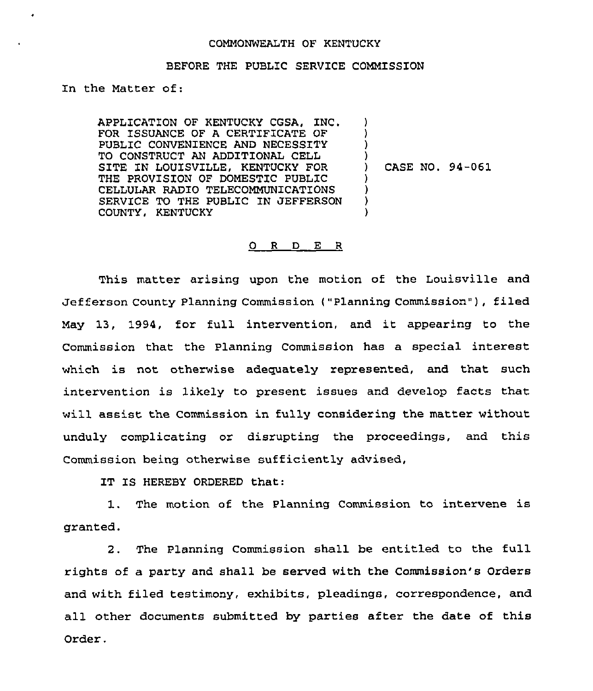## COMMONWEALTH OF KENTUCKY

## BEFORE THE PUBLIC SERVICE COMMISSION

Zn the Matter of:

APPLICATION OF KENTUCKY CGSA, INC. FOR ISSUANCE OF A CERTIFICATE OF PUBLIC CONVENIENCE AND NECESSITY TO CONSTRUCT AN ADDITIONAL CELL SITE IN LOUISVILLE, KENTUCKY FOR THE PROVISION QF DOMESTIC PUBLIC CELLULAR RADIO TELECOMMUNICATIONS SERVICE TO THE PUBLIC IN JEFFERSON COUNTY, KENTUCKY ) ) ) ) ) CASE NO. 94-061 ) ) ) )

## 0 <sup>R</sup> <sup>D</sup> E <sup>R</sup>

This matter arising upon the motion of the Louisville and Jefferson County Planning Commission ("Planning Commission" ), filed May 13, 1994, for full intervention, and it appearing to the Commission that the Planning Commission has a special interest which is not otherwise adequately represented, and that such intervention is likely to present issues and develop facts that will assist the Commission in fully considering the matter without unduly complicating or disrupting the proceedings, and this Commission being otherwise sufficiently advised,

IT IS HEREBY ORDERED that:

1. The motion of the Planning Commission to intervene is granted.

2. The Planning Commission shall be entitled to the full rights of a party and shall be served with the Commission's Orders and with filed testimony, exhibits, pleadings, correspondence, and all other documents submitted by parties after the date of this Order.